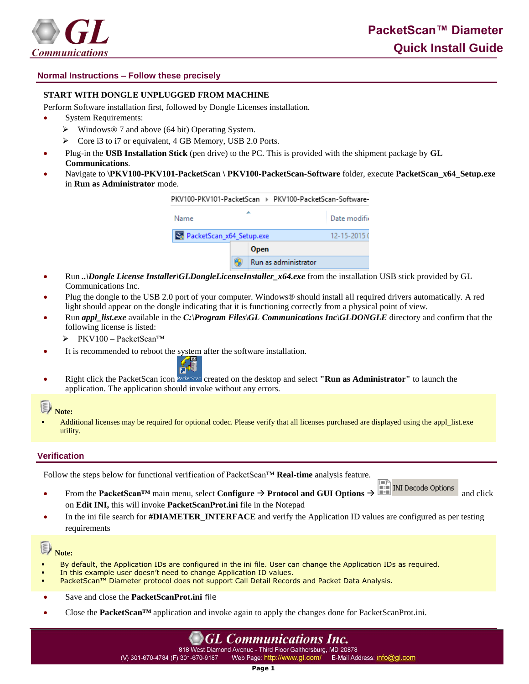

## **Normal Instructions – Follow these precisely**

### **START WITH DONGLE UNPLUGGED FROM MACHINE**

Perform Software installation first, followed by Dongle Licenses installation.

- System Requirements:
	- $\triangleright$  Windows® 7 and above (64 bit) Operating System.
	- $\triangleright$  Core i3 to i7 or equivalent, 4 GB Memory, USB 2.0 Ports.
- Plug-in the **USB Installation Stick** (pen drive) to the PC. This is provided with the shipment package by **GL Communications**.
- Navigate to **\PKV100-PKV101-PacketScan \ PKV100-PacketScan-Software** folder, execute **PacketScan\_x64\_Setup.exe**  in **Run as Administrator** mode.

| PKV100-PKV101-PacketScan ▶ PKV100-PacketScan-Software- |  |                      |                  |
|--------------------------------------------------------|--|----------------------|------------------|
| Name                                                   |  |                      | Date modific     |
| PacketScan_x64_Setup.exe                               |  |                      | $12 - 15 - 2015$ |
|                                                        |  | <b>Open</b>          |                  |
|                                                        |  | Run as administrator |                  |

- Run *..\Dongle License Installer\GLDongleLicenseInstaller\_x64.exe* from the installation USB stick provided by GL Communications Inc.
- Plug the dongle to the USB 2.0 port of your computer. Windows® should install all required drivers automatically. A red light should appear on the dongle indicating that it is functioning correctly from a physical point of view.
- Run *appl\_list.exe* available in the *C:\Program Files\GL Communications Inc\GLDONGLE* directory and confirm that the following license is listed:
	- PKV100 PacketScan™
- It is recommended to reboot the system after the software installation.



Right click the PacketScan icon PacketScan created on the desktop and select **"Run as Administrator"** to launch the application. The application should invoke without any errors.

# Note:

 Additional licenses may be required for optional codec. Please verify that all licenses purchased are displayed using the appl\_list.exe utility.

### **Verification**

Follow the steps below for functional verification of PacketScan™ **Real-time** analysis feature.

- From the **PacketScan<sup>TM</sup>** main menu, select **Configure**  $\rightarrow$  **Protocol and GUI Options**  $\rightarrow$  **and Protocol** and click on **Edit INI,** this will invoke **PacketScanProt.ini** file in the Notepad
- In the ini file search for **#DIAMETER\_INTERFACE** and verify the Application ID values are configured as per testing requirements

#### D) **Note:**

- By default, the Application IDs are configured in the ini file. User can change the Application IDs as required.
- In this example user doesn't need to change Application ID values.
- PacketScan™ Diameter protocol does not support Call Detail Records and Packet Data Analysis.
- Save and close the **PacketScanProt.ini** file
- Close the **PacketScan™** application and invoke again to apply the changes done for PacketScanProt.ini.